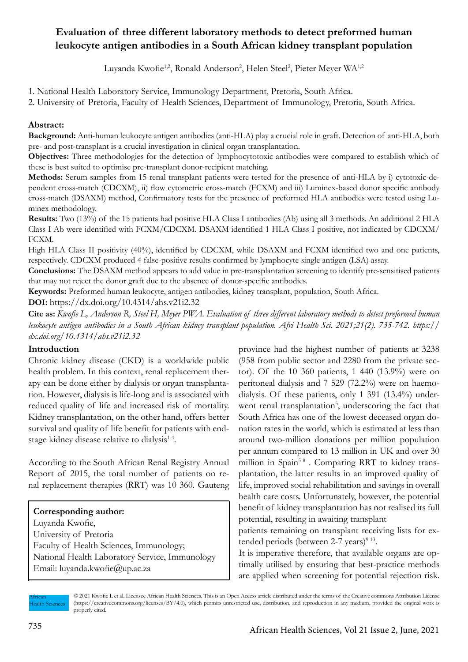# **Evaluation of three different laboratory methods to detect preformed human leukocyte antigen antibodies in a South African kidney transplant population**

Luyanda Kwofie<sup>1,2</sup>, Ronald Anderson<sup>2</sup>, Helen Steel<sup>2</sup>, Pieter Meyer WA<sup>1,2</sup>

1. National Health Laboratory Service, Immunology Department, Pretoria, South Africa.

2. University of Pretoria, Faculty of Health Sciences, Department of Immunology, Pretoria, South Africa.

## **Abstract:**

**Background:** Anti-human leukocyte antigen antibodies (anti-HLA) play a crucial role in graft. Detection of anti-HLA, both pre- and post-transplant is a crucial investigation in clinical organ transplantation.

**Objectives:** Three methodologies for the detection of lymphocytotoxic antibodies were compared to establish which of these is best suited to optimise pre-transplant donor-recipient matching.

**Methods:** Serum samples from 15 renal transplant patients were tested for the presence of anti-HLA by i) cytotoxic-dependent cross-match (CDCXM), ii) flow cytometric cross-match (FCXM) and iii) Luminex-based donor specific antibody cross-match (DSAXM) method, Confirmatory tests for the presence of preformed HLA antibodies were tested using Luminex methodology.

**Results:** Two (13%) of the 15 patients had positive HLA Class I antibodies (Ab) using all 3 methods. An additional 2 HLA Class I Ab were identified with FCXM/CDCXM. DSAXM identified 1 HLA Class I positive, not indicated by CDCXM/ FCXM.

High HLA Class II positivity (40%), identified by CDCXM, while DSAXM and FCXM identified two and one patients, respectively. CDCXM produced 4 false-positive results confirmed by lymphocyte single antigen (LSA) assay.

**Conclusions:** The DSAXM method appears to add value in pre-transplantation screening to identify pre-sensitised patients that may not reject the donor graft due to the absence of donor-specific antibodies.

**Keywords:** Preformed human leukocyte, antigen antibodies, kidney transplant, population, South Africa.

**DOI:** https://dx.doi.org/10.4314/ahs.v21i2.32

**Cite as:** *Kwofie L, Anderson R, Steel H, Meyer PWA. Evaluation of three different laboratory methods to detect preformed human leukocyte antigen antibodies in a South African kidney transplant population. Afri Health Sci. 2021;21(2). 735-742. https:// dx.doi.org/10.4314/ahs.v21i2.32*

### **Introduction**

Chronic kidney disease (CKD) is a worldwide public health problem. In this context, renal replacement therapy can be done either by dialysis or organ transplantation. However, dialysis is life-long and is associated with reduced quality of life and increased risk of mortality. Kidney transplantation, on the other hand, offers better survival and quality of life benefit for patients with endstage kidney disease relative to dialysis<sup>1-4</sup>.

According to the South African Renal Registry Annual Report of 2015, the total number of patients on renal replacement therapies (RRT) was 10 360. Gauteng

**Corresponding author:** Luyanda Kwofie, University of Pretoria Faculty of Health Sciences, Immunology; National Health Laboratory Service, Immunology Email: luyanda.kwofie@up.ac.za

province had the highest number of patients at 3238 (958 from public sector and 2280 from the private sector). Of the 10 360 patients, 1 440 (13.9%) were on peritoneal dialysis and 7 529 (72.2%) were on haemodialysis. Of these patients, only 1 391 (13.4%) underwent renal transplantation<sup>5</sup>, underscoring the fact that South Africa has one of the lowest deceased organ donation rates in the world, which is estimated at less than around two-million donations per million population per annum compared to 13 million in UK and over 30 million in Spain<sup>5-8</sup>. Comparing RRT to kidney transplantation, the latter results in an improved quality of life, improved social rehabilitation and savings in overall health care costs. Unfortunately, however, the potential benefit of kidney transplantation has not realised its full potential, resulting in awaiting transplant

patients remaining on transplant receiving lists for extended periods (between  $2-7$  years)<sup>9-13</sup>.

It is imperative therefore, that available organs are optimally utilised by ensuring that best-practice methods are applied when screening for potential rejection risk.

African **Health Sciences**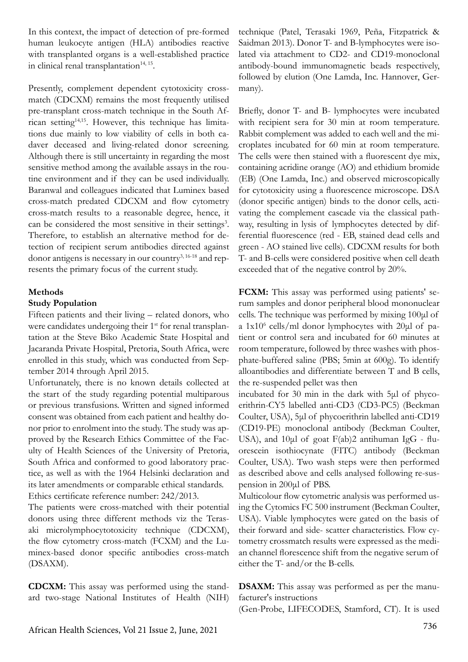In this context, the impact of detection of pre-formed human leukocyte antigen (HLA) antibodies reactive with transplanted organs is a well-established practice in clinical renal transplantation $14, 15$ .

Presently, complement dependent cytotoxicity crossmatch (CDCXM) remains the most frequently utilised pre-transplant cross-match technique in the South African setting14,15. However, this technique has limitations due mainly to low viability of cells in both cadaver deceased and living-related donor screening. Although there is still uncertainty in regarding the most sensitive method among the available assays in the routine environment and if they can be used individually. Baranwal and colleagues indicated that Luminex based cross-match predated CDCXM and flow cytometry cross-match results to a reasonable degree, hence, it can be considered the most sensitive in their settings<sup>3</sup>. Therefore, to establish an alternative method for detection of recipient serum antibodies directed against donor antigens is necessary in our country<sup>3, 16-18</sup> and represents the primary focus of the current study.

## **Methods**

### **Study Population**

Fifteen patients and their living – related donors, who were candidates undergoing their 1<sup>st</sup> for renal transplantation at the Steve Biko Academic State Hospital and Jacaranda Private Hospital, Pretoria, South Africa, were enrolled in this study, which was conducted from September 2014 through April 2015.

Unfortunately, there is no known details collected at the start of the study regarding potential multiparous or previous transfusions. Written and signed informed consent was obtained from each patient and healthy donor prior to enrolment into the study. The study was approved by the Research Ethics Committee of the Faculty of Health Sciences of the University of Pretoria, South Africa and conformed to good laboratory practice, as well as with the 1964 Helsinki declaration and its later amendments or comparable ethical standards. Ethics certificate reference number: 242/2013.

The patients were cross-matched with their potential donors using three different methods viz the Terasaki microlymphocytotoxicity technique (CDCXM), the flow cytometry cross-match (FCXM) and the Luminex-based donor specific antibodies cross-match (DSAXM).

**CDCXM:** This assay was performed using the standard two-stage National Institutes of Health (NIH)

technique (Patel, Terasaki 1969, Peña, Fitzpatrick & Saidman 2013). Donor T- and B-lymphocytes were isolated via attachment to CD2- and CD19-monoclonal antibody-bound immunomagnetic beads respectively, followed by elution (One Lamda, Inc. Hannover, Germany).

Briefly, donor T- and B- lymphocytes were incubated with recipient sera for 30 min at room temperature. Rabbit complement was added to each well and the microplates incubated for 60 min at room temperature. The cells were then stained with a fluorescent dye mix, containing acridine orange (AO) and ethidium bromide (EB) (One Lamda, Inc.) and observed microscopically for cytotoxicity using a fluorescence microscope. DSA (donor specific antigen) binds to the donor cells, activating the complement cascade via the classical pathway, resulting in lysis of lymphocytes detected by differential fluorescence (red - EB, stained dead cells and green - AO stained live cells). CDCXM results for both T- and B-cells were considered positive when cell death exceeded that of the negative control by 20%.

**FCXM:** This assay was performed using patients' serum samples and donor peripheral blood mononuclear cells. The technique was performed by mixing 100μl of a 1x10<sup>6</sup> cells/ml donor lymphocytes with 20μl of patient or control sera and incubated for 60 minutes at room temperature, followed by three washes with phosphate-buffered saline (PBS; 5min at 600g). To identify alloantibodies and differentiate between T and B cells, the re-suspended pellet was then

incubated for 30 min in the dark with 5μl of phycoerithrin-CY5 labelled anti-CD3 (CD3-PC5) (Beckman Coulter, USA), 5μl of phycoerithrin labelled anti-CD19 (CD19-PE) monoclonal antibody (Beckman Coulter, USA), and 10μl of goat F(ab)2 antihuman IgG - fluorescein isothiocynate (FITC) antibody (Beckman Coulter, USA). Two wash steps were then performed as described above and cells analysed following re-suspension in 200μl of PBS.

Multicolour flow cytometric analysis was performed using the Cytomics FC 500 instrument (Beckman Coulter, USA). Viable lymphocytes were gated on the basis of their forward and side- scatter characteristics. Flow cytometry crossmatch results were expressed as the median channel florescence shift from the negative serum of either the T- and/or the B-cells.

**DSAXM:** This assay was performed as per the manufacturer's instructions

(Gen-Probe, LIFECODES, Stamford, CT). It is used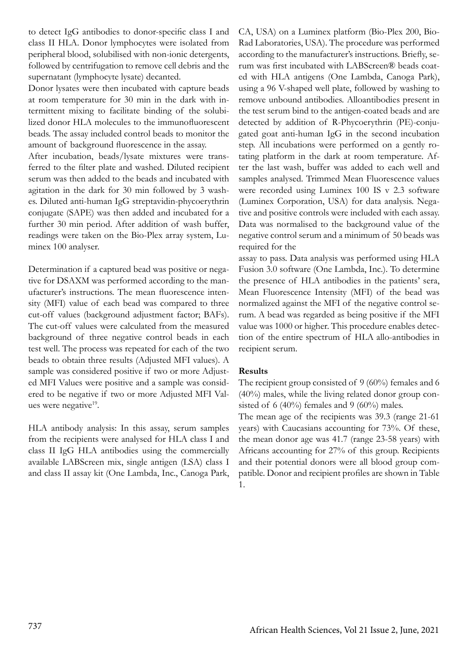to detect IgG antibodies to donor-specific class I and class II HLA. Donor lymphocytes were isolated from peripheral blood, solubilised with non-ionic detergents, followed by centrifugation to remove cell debris and the supernatant (lymphocyte lysate) decanted.

Donor lysates were then incubated with capture beads at room temperature for 30 min in the dark with intermittent mixing to facilitate binding of the solubilized donor HLA molecules to the immunofluorescent beads. The assay included control beads to monitor the amount of background fluorescence in the assay.

After incubation, beads/lysate mixtures were transferred to the filter plate and washed. Diluted recipient serum was then added to the beads and incubated with agitation in the dark for 30 min followed by 3 washes. Diluted anti-human IgG streptavidin-phycoerythrin conjugate (SAPE) was then added and incubated for a further 30 min period. After addition of wash buffer, readings were taken on the Bio-Plex array system, Luminex 100 analyser.

Determination if a captured bead was positive or negative for DSAXM was performed according to the manufacturer's instructions. The mean fluorescence intensity (MFI) value of each bead was compared to three cut-off values (background adjustment factor; BAFs). The cut-off values were calculated from the measured background of three negative control beads in each test well. The process was repeated for each of the two beads to obtain three results (Adjusted MFI values). A sample was considered positive if two or more Adjusted MFI Values were positive and a sample was considered to be negative if two or more Adjusted MFI Values were negative<sup>19</sup>.

HLA antibody analysis: In this assay, serum samples from the recipients were analysed for HLA class I and class II IgG HLA antibodies using the commercially available LABScreen mix, single antigen (LSA) class I and class II assay kit (One Lambda, Inc., Canoga Park, CA, USA) on a Luminex platform (Bio-Plex 200, Bio-Rad Laboratories, USA). The procedure was performed according to the manufacturer's instructions. Briefly, serum was first incubated with LABScreen® beads coated with HLA antigens (One Lambda, Canoga Park), using a 96 V-shaped well plate, followed by washing to remove unbound antibodies. Alloantibodies present in the test serum bind to the antigen-coated beads and are detected by addition of R-Phycoerythrin (PE)-conjugated goat anti-human IgG in the second incubation step. All incubations were performed on a gently rotating platform in the dark at room temperature. After the last wash, buffer was added to each well and samples analysed. Trimmed Mean Fluorescence values were recorded using Luminex 100 IS v 2.3 software (Luminex Corporation, USA) for data analysis. Negative and positive controls were included with each assay. Data was normalised to the background value of the negative control serum and a minimum of 50 beads was required for the

assay to pass. Data analysis was performed using HLA Fusion 3.0 software (One Lambda, Inc.). To determine the presence of HLA antibodies in the patients' sera, Mean Fluorescence Intensity (MFI) of the bead was normalized against the MFI of the negative control serum. A bead was regarded as being positive if the MFI value was 1000 or higher. This procedure enables detection of the entire spectrum of HLA allo-antibodies in recipient serum.

### **Results**

The recipient group consisted of 9 (60%) females and 6 (40%) males, while the living related donor group consisted of 6 (40%) females and 9 (60%) males.

The mean age of the recipients was 39.3 (range 21-61 years) with Caucasians accounting for 73%. Of these, the mean donor age was 41.7 (range 23-58 years) with Africans accounting for 27% of this group. Recipients and their potential donors were all blood group compatible. Donor and recipient profiles are shown in Table 1.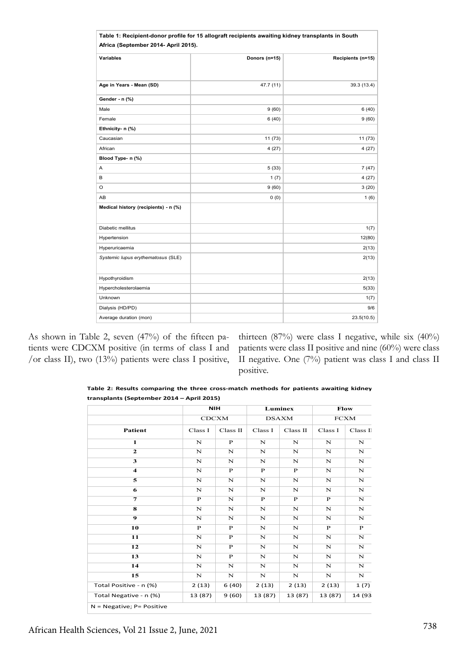|                                      | Table 1: Recipient-donor profile for 15 allograft recipients awaiting kidney transplants in South |                   |  |  |
|--------------------------------------|---------------------------------------------------------------------------------------------------|-------------------|--|--|
| Africa (September 2014- April 2015). |                                                                                                   |                   |  |  |
| <b>Variables</b>                     | Donors (n=15)                                                                                     | Recipients (n=15) |  |  |
| Age in Years - Mean (SD)             | 47.7 (11)                                                                                         | 39.3 (13.4)       |  |  |
| Gender - n (%)                       |                                                                                                   |                   |  |  |
| Male                                 | 9(60)                                                                                             | 6(40)             |  |  |
| Female                               | 6(40)                                                                                             | 9(60)             |  |  |
| Ethnicity- n (%)                     |                                                                                                   |                   |  |  |
| Caucasian                            | 11 (73)                                                                                           | 11(73)            |  |  |
| African                              | 4(27)                                                                                             | 4(27)             |  |  |
| Blood Type- n (%)                    |                                                                                                   |                   |  |  |
| Α                                    | 5(33)                                                                                             | 7(47)             |  |  |
| В                                    | 1(7)                                                                                              | 4(27)             |  |  |
| O                                    | 9(60)                                                                                             | 3(20)             |  |  |
| AB                                   | 0(0)                                                                                              | 1(6)              |  |  |
| Medical history (recipients) - n (%) |                                                                                                   |                   |  |  |
| Diabetic mellitus                    |                                                                                                   | 1(7)              |  |  |
| Hypertension                         |                                                                                                   | 12(80)            |  |  |
| Hyperuricaemia                       |                                                                                                   | 2(13)             |  |  |
| Systemic lupus erythematosus (SLE)   |                                                                                                   | 2(13)             |  |  |
| Hypothyroidism                       |                                                                                                   | 2(13)             |  |  |
| Hypercholesterolaemia                |                                                                                                   | 5(33)             |  |  |
| Unknown                              |                                                                                                   | 1(7)              |  |  |
| Dialysis (HD/PD)                     |                                                                                                   | 9/6               |  |  |
| Average duration (mon)               |                                                                                                   | 23.5(10.5)        |  |  |

As shown in Table 2, seven (47%) of the fifteen patients were CDCXM positive (in terms of class I and /or class II), two (13%) patients were class I positive, thirteen (87%) were class I negative, while six (40%) patients were class II positive and nine (60%) were class II negative. One (7%) patient was class I and class II positive.

**Table 2: Results comparing the three cross-match methods for patients awaiting kidney transplants (September 2014 – April 2015)**

|                              |              | <b>NIH</b>   |              | Luminex      |              | Flow         |  |
|------------------------------|--------------|--------------|--------------|--------------|--------------|--------------|--|
|                              | <b>CDCXM</b> |              | DSAXM        |              | <b>FCXM</b>  |              |  |
| <b>Patient</b>               | Class I      | Class II     | Class I      | Class II     | Class I      | Class II     |  |
| 1                            | N            | $\mathbf{P}$ | N            | N            | N            | N            |  |
| $\mathbf{2}$                 | N            | $\mathbf N$  | N            | N            | N            | $\mathbf N$  |  |
| 3                            | $\mathbf N$  | N            | N            | N            | N            | $\mathbf N$  |  |
| $\overline{\mathbf{4}}$      | N            | $\mathbf{P}$ | $\mathbf{P}$ | $\mathbf{P}$ | N            | $\mathbf N$  |  |
| 5                            | $\mathbf N$  | $\mathbf N$  | N            | N            | $\mathbf N$  | $\mathbf N$  |  |
| 6                            | N            | $\mathbf N$  | N            | N            | N            | $\mathbf N$  |  |
| $\overline{7}$               | $\mathbf{P}$ | N            | $\mathbf{P}$ | $\mathbf{P}$ | $\mathbf{P}$ | ${\bf N}$    |  |
| 8                            | N            | N            | N            | N            | N            | $\mathbf N$  |  |
| $\boldsymbol{9}$             | $\mathbf N$  | $\mathbf N$  | N            | N            | $\mathbf N$  | $\mathbf N$  |  |
| 10                           | $\mathbf{P}$ | $\mathbf{P}$ | N            | N            | $\mathbf{P}$ | $\mathbf{P}$ |  |
| 11                           | $\mathbf N$  | $\mathbf{P}$ | N            | N            | $\mathbf N$  | ${\bf N}$    |  |
| 12                           | N            | $\mathbf{P}$ | N            | N            | N            | $\mathbf N$  |  |
| 13                           | $\mathbf N$  | $\mathbf{P}$ | N            | N            | $\mathbf N$  | $\mathbf N$  |  |
| 14                           | $\mathbf N$  | N            | N            | N            | $\mathbf N$  | $\mathbf N$  |  |
| 15                           | N            | $\mathbf N$  | $\mathbf N$  | N            | N            | $\mathbf N$  |  |
| Total Positive - n (%)       | 2(13)        | 6 (40)       | 2(13)        | 2(13)        | 2(13)        | 1 (7)        |  |
| Total Negative - n (%)       | 13 (87)      | 9(60)        | 13 (87)      | 13 (87)      | 13 (87)      | 14 (93       |  |
| $N = Negative; P = Positive$ |              |              |              |              |              |              |  |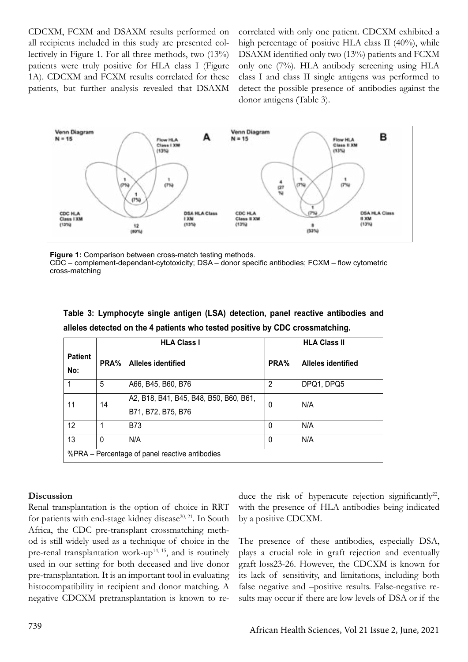CDCXM, FCXM and DSAXM results performed on all recipients included in this study are presented collectively in Figure 1. For all three methods, two (13%) patients were truly positive for HLA class I (Figure 1A). CDCXM and FCXM results correlated for these patients, but further analysis revealed that DSAXM correlated with only one patient. CDCXM exhibited a high percentage of positive HLA class II (40%), while DSAXM identified only two (13%) patients and FCXM only one (7%). HLA antibody screening using HLA class I and class II single antigens was performed to detect the possible presence of antibodies against the donor antigens (Table 3).



**Figure 1:** Comparison between cross-match testing methods. CDC – complement-dependant-cytotoxicity; DSA – donor specific antibodies; FCXM – flow cytometric cross-matching

| Table 3: Lymphocyte single antigen (LSA) detection, panel reactive antibodies and |  |  |  |
|-----------------------------------------------------------------------------------|--|--|--|
| alleles detected on the 4 patients who tested positive by CDC crossmatching.      |  |  |  |

|                                                |          | <b>HLA Class I</b>                                           | <b>HLA Class II</b> |                           |  |
|------------------------------------------------|----------|--------------------------------------------------------------|---------------------|---------------------------|--|
| <b>Patient</b><br>No:                          | PRA%     | <b>Alleles identified</b>                                    | PRA%                | <b>Alleles identified</b> |  |
|                                                | 5        | A66, B45, B60, B76                                           | 2                   | DPQ1, DPQ5                |  |
| 11                                             | 14       | A2, B18, B41, B45, B48, B50, B60, B61,<br>B71, B72, B75, B76 | 0                   | N/A                       |  |
| 12                                             |          | <b>B73</b>                                                   | 0                   | N/A                       |  |
| 13                                             | $\Omega$ | N/A                                                          | 0                   | N/A                       |  |
| %PRA – Percentage of panel reactive antibodies |          |                                                              |                     |                           |  |

### **Discussion**

Renal transplantation is the option of choice in RRT for patients with end-stage kidney disease<sup>20, 21</sup>. In South Africa, the CDC pre-transplant crossmatching method is still widely used as a technique of choice in the pre-renal transplantation work-up<sup>14, 15</sup>, and is routinely used in our setting for both deceased and live donor pre-transplantation. It is an important tool in evaluating histocompatibility in recipient and donor matching. A negative CDCXM pretransplantation is known to reduce the risk of hyperacute rejection significantly<sup>22</sup>, with the presence of HLA antibodies being indicated by a positive CDCXM.

The presence of these antibodies, especially DSA, plays a crucial role in graft rejection and eventually graft loss23-26. However, the CDCXM is known for its lack of sensitivity, and limitations, including both false negative and –positive results. False-negative results may occur if there are low levels of DSA or if the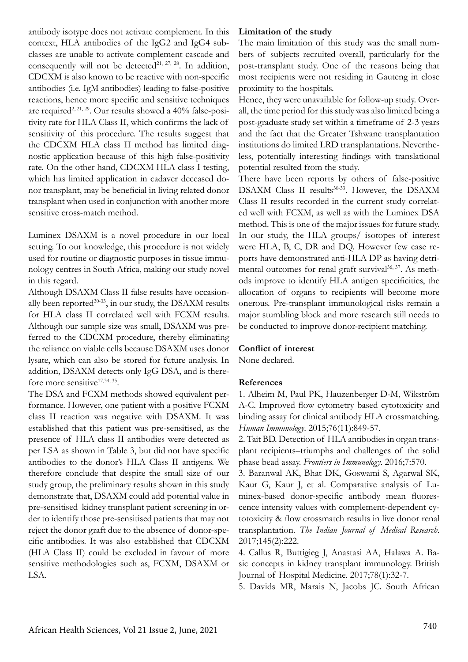antibody isotype does not activate complement. In this context, HLA antibodies of the IgG2 and IgG4 subclasses are unable to activate complement cascade and consequently will not be detected<sup>21, 27, 28</sup>. In addition, CDCXM is also known to be reactive with non-specific antibodies (i.e. IgM antibodies) leading to false-positive reactions, hence more specific and sensitive techniques are required<sup>2, 21, 29</sup>. Our results showed a  $40\%$  false-positivity rate for HLA Class II, which confirms the lack of sensitivity of this procedure. The results suggest that the CDCXM HLA class II method has limited diagnostic application because of this high false-positivity rate. On the other hand, CDCXM HLA class I testing, which has limited application in cadaver deceased donor transplant, may be beneficial in living related donor transplant when used in conjunction with another more sensitive cross-match method.

Luminex DSAXM is a novel procedure in our local setting. To our knowledge, this procedure is not widely used for routine or diagnostic purposes in tissue immunology centres in South Africa, making our study novel in this regard.

Although DSAXM Class II false results have occasionally been reported $30-33$ , in our study, the DSAXM results for HLA class II correlated well with FCXM results. Although our sample size was small, DSAXM was preferred to the CDCXM procedure, thereby eliminating the reliance on viable cells because DSAXM uses donor lysate, which can also be stored for future analysis. In addition, DSAXM detects only IgG DSA, and is therefore more sensitive<sup>17,34, 35</sup>.

The DSA and FCXM methods showed equivalent performance. However, one patient with a positive FCXM class II reaction was negative with DSAXM. It was established that this patient was pre-sensitised, as the presence of HLA class II antibodies were detected as per LSA as shown in Table 3, but did not have specific antibodies to the donor's HLA Class II antigens. We therefore conclude that despite the small size of our study group, the preliminary results shown in this study demonstrate that, DSAXM could add potential value in pre-sensitised kidney transplant patient screening in order to identify those pre-sensitised patients that may not reject the donor graft due to the absence of donor-specific antibodies. It was also established that CDCXM (HLA Class II) could be excluded in favour of more sensitive methodologies such as, FCXM, DSAXM or LSA.

### **Limitation of the study**

The main limitation of this study was the small numbers of subjects recruited overall, particularly for the post-transplant study. One of the reasons being that most recipients were not residing in Gauteng in close proximity to the hospitals.

Hence, they were unavailable for follow-up study. Overall, the time period for this study was also limited being a post-graduate study set within a timeframe of 2-3 years and the fact that the Greater Tshwane transplantation institutions do limited LRD transplantations. Nevertheless, potentially interesting findings with translational potential resulted from the study.

There have been reports by others of false-positive DSAXM Class II results<sup>30-33</sup>. However, the DSAXM Class II results recorded in the current study correlated well with FCXM, as well as with the Luminex DSA method. This is one of the major issues for future study. In our study, the HLA groups/ isotopes of interest were HLA, B, C, DR and DQ. However few case reports have demonstrated anti-HLA DP as having detrimental outcomes for renal graft survival<sup>36, 37</sup>. As methods improve to identify HLA antigen specificities, the allocation of organs to recipients will become more onerous. Pre-transplant immunological risks remain a major stumbling block and more research still needs to be conducted to improve donor-recipient matching.

### **Conflict of interest**

None declared.

### **References**

1. Alheim M, Paul PK, Hauzenberger D-M, Wikström A-C. Improved flow cytometry based cytotoxicity and binding assay for clinical antibody HLA crossmatching. *Human Immunology*. 2015;76(11):849-57.

2. Tait BD. Detection of HLA antibodies in organ transplant recipients–triumphs and challenges of the solid phase bead assay. *Frontiers in Immunology*. 2016;7:570.

3. Baranwal AK, Bhat DK, Goswami S, Agarwal SK, Kaur G, Kaur J, et al. Comparative analysis of Luminex-based donor-specific antibody mean fluorescence intensity values with complement-dependent cytotoxicity & flow crossmatch results in live donor renal transplantation. *The Indian Journal of Medical Research*. 2017;145(2):222.

4. Callus R, Buttigieg J, Anastasi AA, Halawa A. Basic concepts in kidney transplant immunology. British Journal of Hospital Medicine. 2017;78(1):32-7.

5. Davids MR, Marais N, Jacobs JC. South African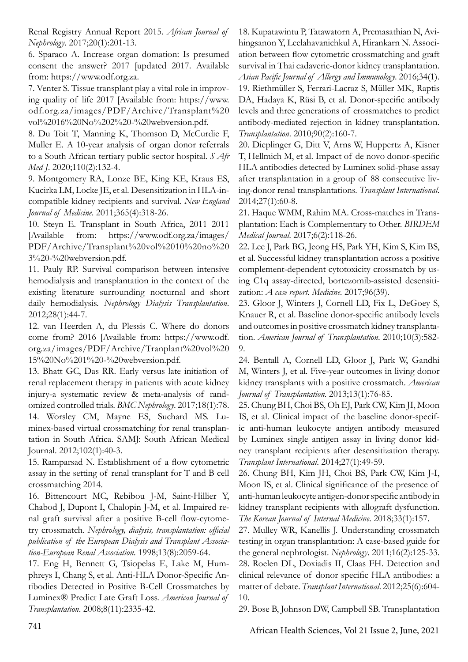Renal Registry Annual Report 2015. *African Journal of Nephrology*. 2017;20(1):201-13.

6. Sparaco A. Increase organ domation: Is presumed consent the answer? 2017 [updated 2017. Available from: https://www.odf.org.za.

7. Venter S. Tissue transplant play a vital role in improving quality of life 2017 [Available from: https://www. odf.org.za/images/PDF/Archive/Transplant%20 vol%2016%20No%202%20-%20webversion.pdf.

8. Du Toit T, Manning K, Thomson D, McCurdie F, Muller E. A 10-year analysis of organ donor referrals to a South African tertiary public sector hospital. *S Afr Med J*. 2020;110(2):132-4.

9. Montgomery RA, Lonze BE, King KE, Kraus ES, Kucirka LM, Locke JE, et al. Desensitization in HLA-incompatible kidney recipients and survival. *New England Journal of Medicine*. 2011;365(4):318-26.

10. Steyn E. Transplant in South Africa, 2011 2011 [Available from: https://www.odf.org.za/images/ PDF/Archive/Transplant%20vol%2010%20no%20 3%20-%20webversion.pdf.

11. Pauly RP. Survival comparison between intensive hemodialysis and transplantation in the context of the existing literature surrounding nocturnal and short daily hemodialysis. *Nephrology Dialysis Transplantation*. 2012;28(1):44-7.

12. van Heerden A, du Plessis C. Where do donors come from? 2016 [Available from: https://www.odf. org.za/images/PDF/Archive/Tranplant%20vol%20 15%20No%201%20-%20webversion.pdf.

13. Bhatt GC, Das RR. Early versus late initiation of renal replacement therapy in patients with acute kidney injury-a systematic review & meta-analysis of randomized controlled trials. *BMC Nephrology*. 2017;18(1):78. 14. Worsley CM, Mayne ES, Suchard MS. Lu-

minex-based virtual crossmatching for renal transplantation in South Africa. SAMJ: South African Medical Journal. 2012;102(1):40-3.

15. Ramparsad N. Establishment of a flow cytometric assay in the setting of renal transplant for T and B cell crossmatching 2014.

16. Bittencourt MC, Rebibou J-M, Saint-Hillier Y, Chabod J, Dupont I, Chalopin J-M, et al. Impaired renal graft survival after a positive B-cell flow-cytometry crossmatch. *Nephrology, dialysis, transplantation: official publication of the European Dialysis and Transplant Association-European Renal Association*. 1998;13(8):2059-64.

17. Eng H, Bennett G, Tsiopelas E, Lake M, Humphreys I, Chang S, et al. Anti-HLA Donor-Specific Antibodies Detected in Positive B-Cell Crossmatches by Luminex® Predict Late Graft Loss. *American Journal of Transplantation*. 2008;8(11):2335-42.

18. Kupatawintu P, Tatawatorn A, Premasathian N, Avihingsanon Y, Leelahavanichkul A, Hirankarn N. Association between flow cytometric crossmatching and graft survival in Thai cadaveric-donor kidney transplantation. *Asian Pacific Journal of Allergy and Immunology*. 2016;34(1). 19. Riethmüller S, Ferrari-Lacraz S, Müller MK, Raptis DA, Hadaya K, Rüsi B, et al. Donor-specific antibody levels and three generations of crossmatches to predict antibody-mediated rejection in kidney transplantation. *Transplantation*. 2010;90(2):160-7.

20. Dieplinger G, Ditt V, Arns W, Huppertz A, Kisner T, Hellmich M, et al. Impact of de novo donor-specific HLA antibodies detected by Luminex solid-phase assay after transplantation in a group of 88 consecutive living-donor renal transplantations. *Transplant International*. 2014;27(1):60-8.

21. Haque WMM, Rahim MA. Cross-matches in Transplantation: Each is Complementary to Other. *BIRDEM Medical Journal*. 2017;6(2):118-26.

22. Lee J, Park BG, Jeong HS, Park YH, Kim S, Kim BS, et al. Successful kidney transplantation across a positive complement-dependent cytotoxicity crossmatch by using C1q assay-directed, bortezomib-assisted desensitization: *A case report. Medicine*. 2017;96(39).

23. Gloor J, Winters J, Cornell LD, Fix L, DeGoey S, Knauer R, et al. Baseline donor-specific antibody levels and outcomes in positive crossmatch kidney transplantation. *American Journal of Transplantation*. 2010;10(3):582- 9.

24. Bentall A, Cornell LD, Gloor J, Park W, Gandhi M, Winters J, et al. Five-year outcomes in living donor kidney transplants with a positive crossmatch. *American Journal of Transplantation*. 2013;13(1):76-85.

25. Chung BH, Choi BS, Oh EJ, Park CW, Kim JI, Moon IS, et al. Clinical impact of the baseline donor-specific anti-human leukocyte antigen antibody measured by Luminex single antigen assay in living donor kidney transplant recipients after desensitization therapy. *Transplant International*. 2014;27(1):49-59.

26. Chung BH, Kim JH, Choi BS, Park CW, Kim J-I, Moon IS, et al. Clinical significance of the presence of anti-human leukocyte antigen-donor specific antibody in kidney transplant recipients with allograft dysfunction. *The Korean Journal of Internal Medicine*. 2018;33(1):157.

27. Mulley WR, Kanellis J. Understanding crossmatch testing in organ transplantation: A case-based guide for the general nephrologist. *Nephrology*. 2011;16(2):125-33. 28. Roelen DL, Doxiadis II, Claas FH. Detection and clinical relevance of donor specific HLA antibodies: a matter of debate. *Transplant International*. 2012;25(6):604- 10.

29. Bose B, Johnson DW, Campbell SB. Transplantation

<sup>741</sup> African Health Sciences, Vol 21 Issue 2, June, 2021